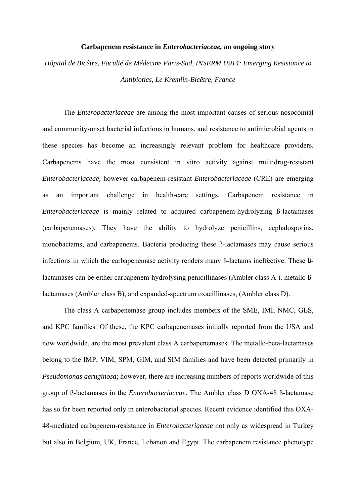## **Carbapenem resistance in** *Enterobacteriaceae,* **an ongoing story**

*Hôpital de Bicêtre, Faculté de Médecine Paris-Sud, INSERM U914: Emerging Resistance to Antibiotics, Le Kremlin-Bicêtre, France* 

 The *Enterobacteriaceae* are among the most important causes of serious nosocomial and community-onset bacterial infections in humans, and resistance to antimicrobial agents in these species has become an increasingly relevant problem for healthcare providers. Carbapenems have the most consistent in vitro activity against multidrug-resistant *Enterobacteriaceae,* however carbapenem-resistant *Enterobacteriaceae* (CRE) are emerging as an important challenge in health-care settings. Carbapenem resistance in *Enterobacteriaceae* is mainly related to acquired carbapenem-hydrolyzing ß-lactamases (carbapenemases). They have the ability to hydrolyze penicillins, cephalosporins, monobactams, and carbapenems. Bacteria producing these ß-lactamases may cause serious infections in which the carbapenemase activity renders many ß-lactams ineffective. These ßlactamases can be either carbapenem-hydrolysing penicillinases (Ambler class A ). metallo ßlactamases (Ambler class B), and expanded-spectrum oxacillinases, (Ambler class D).

 The class A carbapenemase group includes members of the SME, IMI, NMC, GES, and KPC families. Of these, the KPC carbapenemases initially reported from the USA and now worldwide, are the most prevalent class A carbapenemases. The metallo-beta-lactamases belong to the IMP, VIM, SPM, GIM, and SIM families and have been detected primarily in *Pseudomonas aeruginosa*; however, there are increasing numbers of reports worldwide of this group of ß-lactamases in the *Enterobacteriaceae*. The Ambler class D OXA-48 ß-lactamase has so far been reported only in enterobacterial species. Recent evidence identified this OXA-48-mediated carbapenem-resistance in *Enterobacteriaceae* not only as widespread in Turkey but also in Belgium, UK, France, Lebanon and Egypt. The carbapenem resistance phenotype